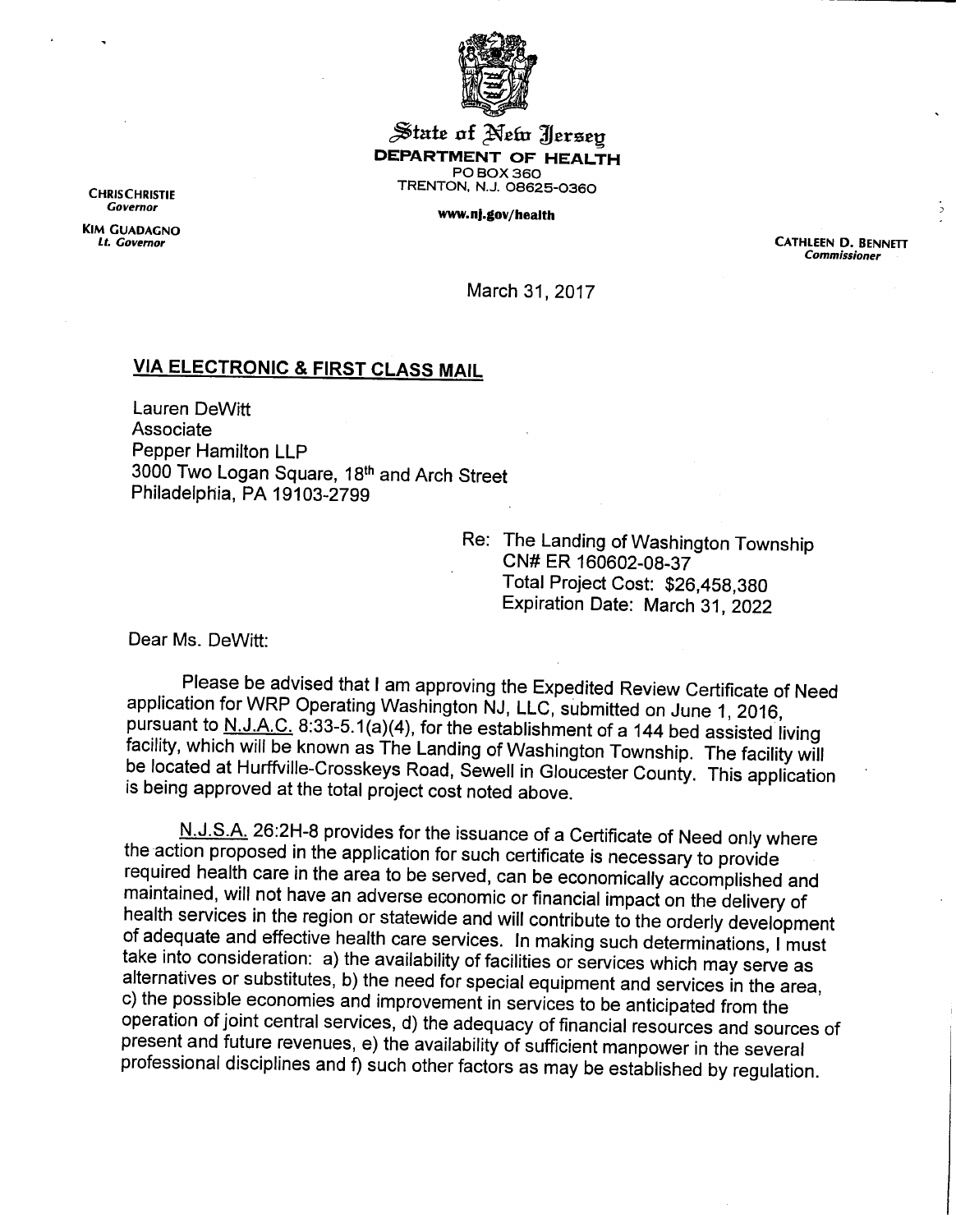

Jitaie of **^efa** ^Jeraeg *DEPARTMENT OF HEALTH PO BOX 360 CHR.SCHR.ST.E TRENTON. N.J. 08625-0360*

*Covemor ww.nj.gov/health*

*KIM GUADAGNO*

*Lt. Covemor CATHLEEN D. BENNETT Commissioner*

March 31, 2017

## *VIA ELECTRONIC & FIRST CLASS MAIL*

Lauren DeWitt Associate Pepper Hamilton LLP 3000 Two Logan Square, 18th and Arch Street Philadelphia, PA 19103-2799

> Re: The Landing of Washington Township CN#ER 160602-08-37 Total Project Cost: \$26,458,380 Expiration Date: March 31, 2022

Dear Ms. DeWitt:

Please be advised that Iam approving the Expedited Review Certificate of Need application for WRP Operating Washington NJ, LLC, submitted on June 1, 2016, pursuant to N.JAC. 8:33-5.1(a)(4), for the establishment of a 144 bed assisted living facility, which will be known as The Landing of Washington Township. The facility will be located at Hurffville-Crosskeys Road, Sewell in Gloucester County. This application is being approved at the total project cost noted above.

N.J.S.A. 26:2H-8 provides for the issuance of a Certificate of Need only where<br>the action proposed in the application for such certificate is necessary to provide required health care in the area to be served, can be economically accomplished and maintained, will not have an adverse economic or financial impact on the delivery of health services in the region or statewide and will contribute to the orderly development of adequate and effective health care services. In making such determinations, Imust take into consideration: a) the availability of facilities or services which may serve as alternatives or substitutes, b) the need for special equipment and services in the area, c) the possible economies and improvement in services to be anticipated from the operation of joint central services, d) the adequacy of financial resources and sources of present and future revenues, e) the availability of sufficient manpower in the several professional disciplines and f) such other factors as may be established by regulation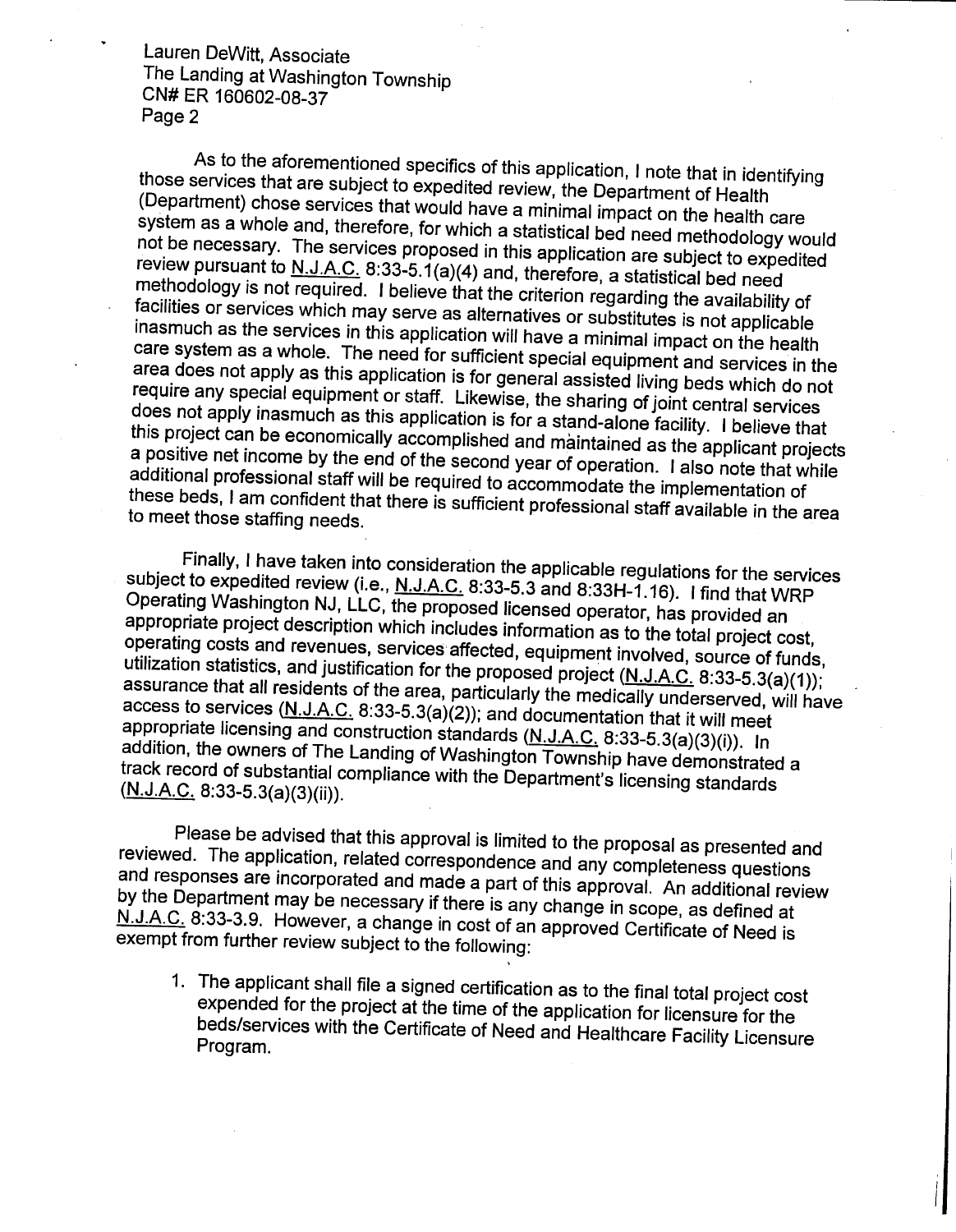Lauren DeWitt, Associate The Landing at Washington Township CN#ER 160602-08-37 Page 2

As to the aforementioned specifics of this application, I note that in identifying<br>those services that are subject to expedited review, the Department of Health (Department) chose services that would have a minimal impact on the health care system as a whole and, therefore, for which a statistical bed need methodology would not be necessary. The services proposed in this application are subject to expedited<br>review pursuant to  $N.J.A.C.$  8:33-5.1(a)(4) and, therefore, a statistical bed need<br>methodology is not required. I believe that the criteri care system as a whole. The need for sufficient special equipment and services in the<br>area does not apply as this application is for general assisted living beds which do not require any special equipment or staff. Likewise, the sharing of joint central services<br>does not apply inasmuch as this application is for a stand-alone facility. I believe that<br>this project can be economically accomplishe these beds, I am confident that there is sufficient professional staff available in the area to meet those staffing needs.

Finally, I have taken into consideration the applicable regulations for the services<br>subject to expedited review (i.e., <u>N.J.A.C.</u> 8:33-5.3 and 8:33H-1.16). I find that WRP<br>Operating Washington NJ, LLC, the proposed licen assurance that all residents of the area, particularly the medically underserved, will have<br>access to services (N.J.A.C. 8:33-5.3(a)(2)); and documentation that it will meet<br>appropriate licensing and construction standard appropriate licensing and construction standards (N.J.A.C. 8:33-5.3(a)(3)(i)). In addition, the owners of The Landing of Washington Township have demonstrated a track record of substantial compliance with the *Department's licensing standards*<br>(<u>N.J.A.C.</u> 8:33-5.3(a)(3)(ii)).

Please be advised that this approval is limited to the proposal as presented and reviewed. The application, related correspondence and any completeness questions and responses are incorporated and made a part of this appro N.J.A.C. 8:33-3.9. However, a change in cost of an approved Certificate of Need is exempt from further review subject to the following:

1. The applicant shall file a signed certification as to the final total project cost expended for the project at the time of the application for licensure for the beds/services with the Certificate of Need and Healthcare Facility Licensure<br>Program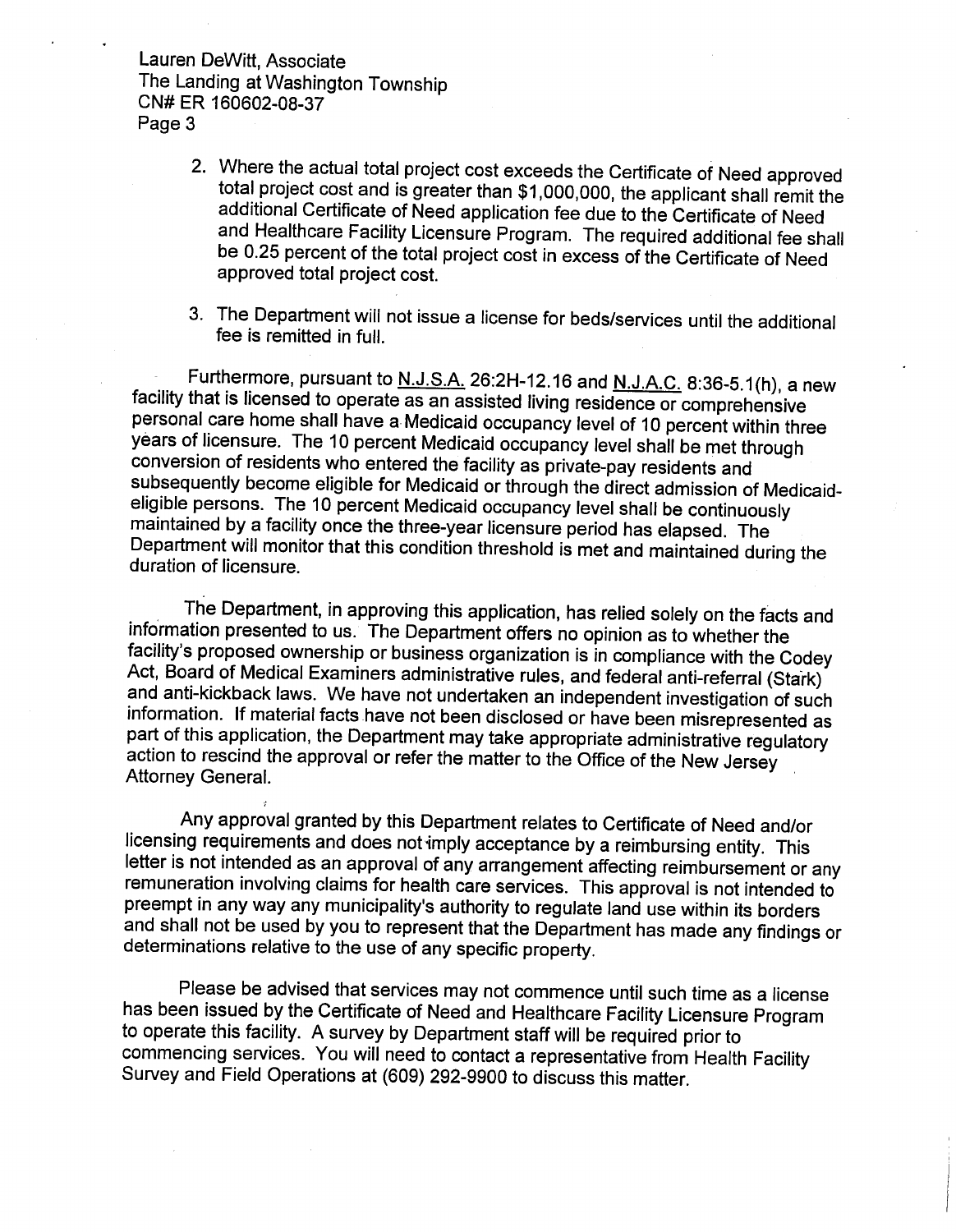Lauren DeWitt, Associate The Landing at Washington Township CN#ER 160602-08-37 Page 3

- 2. Where the actual total project cost exceeds the Certificate of Need approved total project cost and is greater than \$1,000,000, the applicant shall remit the additional Certificate of Need application fee due to the Certificate of Need and Healthcare Facility Licensure Program. The required additional fee shall be 0.25 percent of the total project cost in excess of the Certificate of Need approved total project cost.
- 3. The Department will not issue a license for beds/services until the additional fee is remitted in full.

Furthermore, pursuant to <u>N.J.S.A.</u> 26:2H-12.16 and <u>N.J.A.C.</u> 8:36-5.1(h), a new facility that is licensed to operate as an assisted living residence or comprehensive personal care home shall have a Medicaid occupancy level of 10 percent within three<br>years of licensure. The 10 percent Medicaid occupancy level shall be met through conversion of residents who entered the facility as private-pay residents and subsequently become eligible for Medicaid or through the direct admission of Medicaid-<br>eligible persons. The 10 percent Medicaid occupancy level shall be continuously maintained by a facility once the three-year licensure period has elapsed. The Department will monitor that this condition threshold is met and maintained during the duration of licensure.

The Department, in approving this application, has relied solely on the facts and information presented to us. The Department offers no opinion as towhether the facility's proposed ownership or business organization is in compliance with the Codey and anti-kickback laws. We have not undertaken an independent investigation of such information. If material facts have not been disclosed or have been misrepresented as<br>part of this application, the Department may take appropriate administrative regulatory action to rescind the approval or refer the matter to the Office of the New Jersey Attorney General.

Any approval granted by this Department relates to Certificate of Need and/or licensing requirements and does not imply acceptance by a reimbursing entity. This letter is not intended as an approval of any arrangement affecting reimbursement or any remuneration involving claims for health care services. This approval is not intended to preempt in any way any municipality's authority to regulate land use within its borders and shall not be used by you to represent that the Department has made any findings or determinations relative to the use of any specific property.

Please be advised that services may not commence until such time as a license has been issued by the Certificate of Need and Healthcare Facility Licensure Program to operate this facility. A survey by Department staff will be required prior to commencing services. You will need to contact a representative from Health Facility Survey and Field Operations at (609) 292-9900 to discuss this matter.